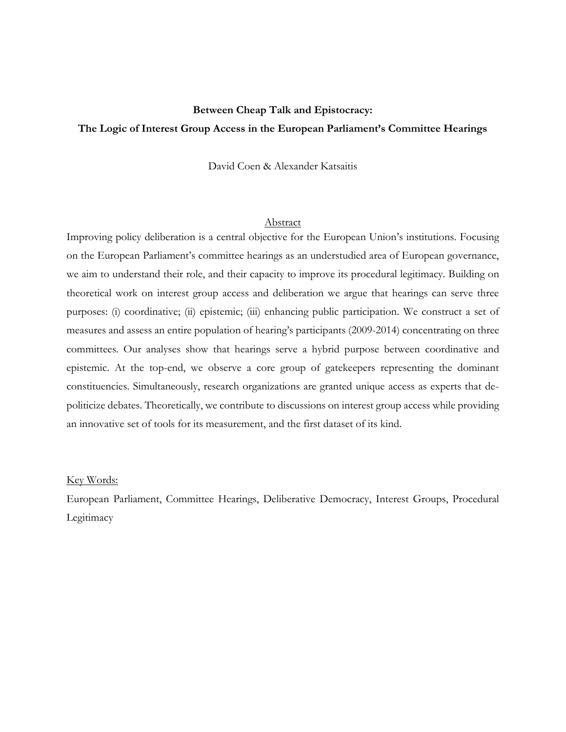# **Between Cheap Talk and Epistocracy: The Logic of Interest Group Access in the European Parliament's Committee Hearings**

David Coen & Alexander Katsaitis

### Abstract

Improving policy deliberation is a central objective for the European Union's institutions. Focusing on the European Parliament's committee hearings as an understudied area of European governance, we aim to understand their role, and their capacity to improve its procedural legitimacy. Building on theoretical work on interest group access and deliberation we argue that hearings can serve three purposes: (i) coordinative; (ii) epistemic; (iii) enhancing public participation. We construct a set of measures and assess an entire population of hearing's participants (2009-2014) concentrating on three committees. Our analyses show that hearings serve a hybrid purpose between coordinative and epistemic. At the top-end, we observe a core group of gatekeepers representing the dominant constituencies. Simultaneously, research organizations are granted unique access as experts that depoliticize debates. Theoretically, we contribute to discussions on interest group access while providing an innovative set of tools for its measurement, and the first dataset of its kind.

#### Key Words:

European Parliament, Committee Hearings, Deliberative Democracy, Interest Groups, Procedural Legitimacy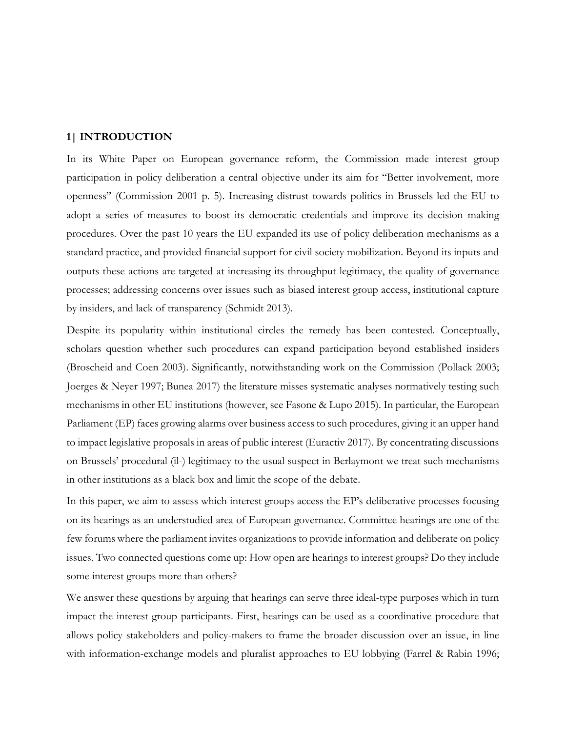# **1| INTRODUCTION**

In its White Paper on European governance reform, the Commission made interest group participation in policy deliberation a central objective under its aim for ''Better involvement, more openness" (Commission 2001 p. 5). Increasing distrust towards politics in Brussels led the EU to adopt a series of measures to boost its democratic credentials and improve its decision making procedures. Over the past 10 years the EU expanded its use of policy deliberation mechanisms as a standard practice, and provided financial support for civil society mobilization. Beyond its inputs and outputs these actions are targeted at increasing its throughput legitimacy, the quality of governance processes; addressing concerns over issues such as biased interest group access, institutional capture by insiders, and lack of transparency (Schmidt 2013).

Despite its popularity within institutional circles the remedy has been contested. Conceptually, scholars question whether such procedures can expand participation beyond established insiders (Broscheid and Coen 2003). Significantly, notwithstanding work on the Commission (Pollack 2003; Joerges & Neyer 1997; Bunea 2017) the literature misses systematic analyses normatively testing such mechanisms in other EU institutions (however, see Fasone & Lupo 2015). In particular, the European Parliament (EP) faces growing alarms over business access to such procedures, giving it an upper hand to impact legislative proposals in areas of public interest (Euractiv 2017). By concentrating discussions on Brussels' procedural (il-) legitimacy to the usual suspect in Berlaymont we treat such mechanisms in other institutions as a black box and limit the scope of the debate.

In this paper, we aim to assess which interest groups access the EP's deliberative processes focusing on its hearings as an understudied area of European governance. Committee hearings are one of the few forums where the parliament invites organizations to provide information and deliberate on policy issues. Two connected questions come up: How open are hearings to interest groups? Do they include some interest groups more than others?

We answer these questions by arguing that hearings can serve three ideal-type purposes which in turn impact the interest group participants. First, hearings can be used as a coordinative procedure that allows policy stakeholders and policy-makers to frame the broader discussion over an issue, in line with information-exchange models and pluralist approaches to EU lobbying (Farrel & Rabin 1996;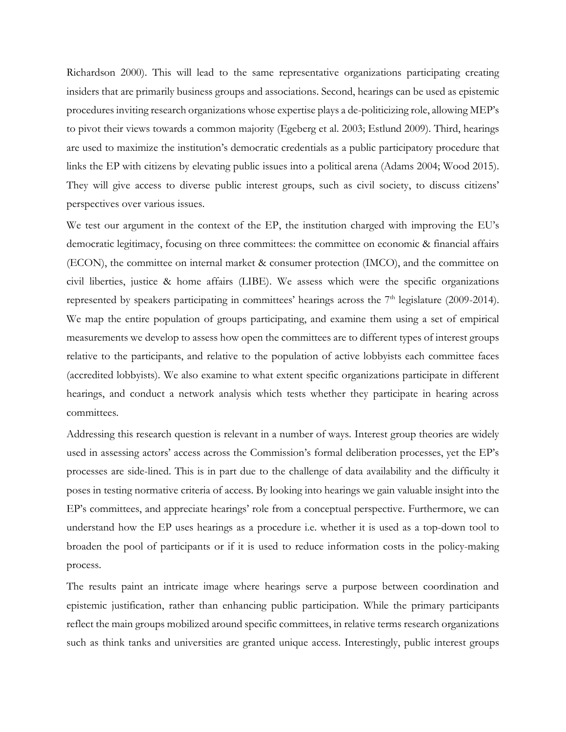Richardson 2000). This will lead to the same representative organizations participating creating insiders that are primarily business groups and associations. Second, hearings can be used as epistemic procedures inviting research organizations whose expertise plays a de-politicizing role, allowing MEP's to pivot their views towards a common majority (Egeberg et al. 2003; Estlund 2009). Third, hearings are used to maximize the institution's democratic credentials as a public participatory procedure that links the EP with citizens by elevating public issues into a political arena (Adams 2004; Wood 2015). They will give access to diverse public interest groups, such as civil society, to discuss citizens' perspectives over various issues.

We test our argument in the context of the EP, the institution charged with improving the EU's democratic legitimacy, focusing on three committees: the committee on economic & financial affairs (ECON), the committee on internal market & consumer protection (IMCO), and the committee on civil liberties, justice & home affairs (LIBE). We assess which were the specific organizations represented by speakers participating in committees' hearings across the  $7<sup>th</sup>$  legislature (2009-2014). We map the entire population of groups participating, and examine them using a set of empirical measurements we develop to assess how open the committees are to different types of interest groups relative to the participants, and relative to the population of active lobbyists each committee faces (accredited lobbyists). We also examine to what extent specific organizations participate in different hearings, and conduct a network analysis which tests whether they participate in hearing across committees.

Addressing this research question is relevant in a number of ways. Interest group theories are widely used in assessing actors' access across the Commission's formal deliberation processes, yet the EP's processes are side-lined. This is in part due to the challenge of data availability and the difficulty it poses in testing normative criteria of access. By looking into hearings we gain valuable insight into the EP's committees, and appreciate hearings' role from a conceptual perspective. Furthermore, we can understand how the EP uses hearings as a procedure i.e. whether it is used as a top-down tool to broaden the pool of participants or if it is used to reduce information costs in the policy-making process.

The results paint an intricate image where hearings serve a purpose between coordination and epistemic justification, rather than enhancing public participation. While the primary participants reflect the main groups mobilized around specific committees, in relative terms research organizations such as think tanks and universities are granted unique access. Interestingly, public interest groups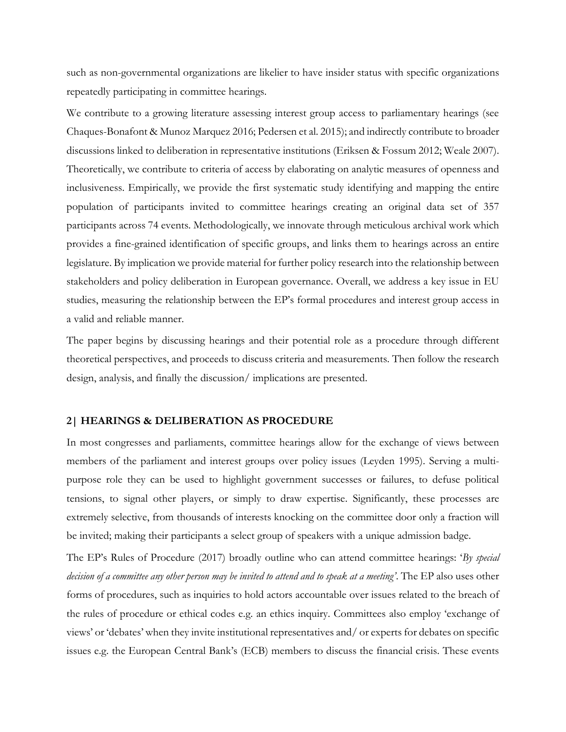such as non-governmental organizations are likelier to have insider status with specific organizations repeatedly participating in committee hearings.

We contribute to a growing literature assessing interest group access to parliamentary hearings (see Chaques-Bonafont & Munoz Marquez 2016; Pedersen et al. 2015); and indirectly contribute to broader discussions linked to deliberation in representative institutions (Eriksen & Fossum 2012; Weale 2007). Theoretically, we contribute to criteria of access by elaborating on analytic measures of openness and inclusiveness. Empirically, we provide the first systematic study identifying and mapping the entire population of participants invited to committee hearings creating an original data set of 357 participants across 74 events. Methodologically, we innovate through meticulous archival work which provides a fine-grained identification of specific groups, and links them to hearings across an entire legislature. By implication we provide material for further policy research into the relationship between stakeholders and policy deliberation in European governance. Overall, we address a key issue in EU studies, measuring the relationship between the EP's formal procedures and interest group access in a valid and reliable manner.

The paper begins by discussing hearings and their potential role as a procedure through different theoretical perspectives, and proceeds to discuss criteria and measurements. Then follow the research design, analysis, and finally the discussion/ implications are presented.

### **2| HEARINGS & DELIBERATION AS PROCEDURE**

In most congresses and parliaments, committee hearings allow for the exchange of views between members of the parliament and interest groups over policy issues (Leyden 1995). Serving a multipurpose role they can be used to highlight government successes or failures, to defuse political tensions, to signal other players, or simply to draw expertise. Significantly, these processes are extremely selective, from thousands of interests knocking on the committee door only a fraction will be invited; making their participants a select group of speakers with a unique admission badge.

The EP's Rules of Procedure (2017) broadly outline who can attend committee hearings: '*By special decision of a committee any other person may be invited to attend and to speak at a meeting'*. The EP also uses other forms of procedures, such as inquiries to hold actors accountable over issues related to the breach of the rules of procedure or ethical codes e.g. an ethics inquiry. Committees also employ 'exchange of views' or 'debates' when they invite institutional representatives and/ or experts for debates on specific issues e.g. the European Central Bank's (ECB) members to discuss the financial crisis. These events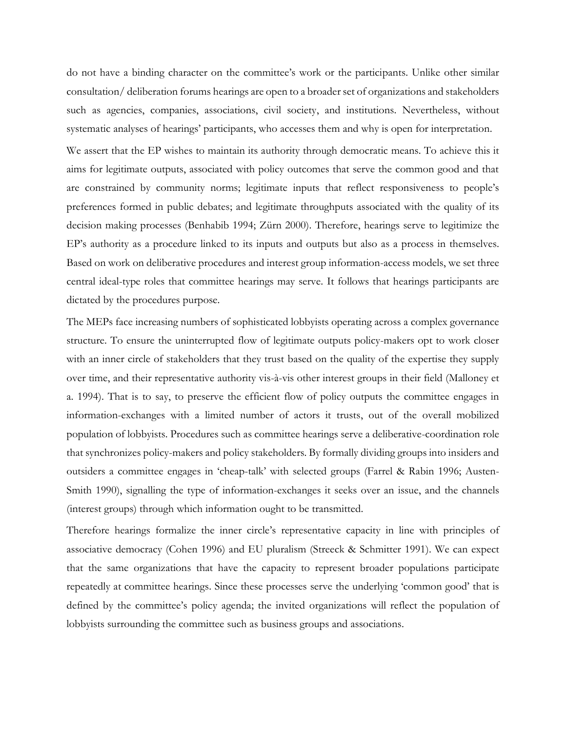do not have a binding character on the committee's work or the participants. Unlike other similar consultation/ deliberation forums hearings are open to a broader set of organizations and stakeholders such as agencies, companies, associations, civil society, and institutions. Nevertheless, without systematic analyses of hearings' participants, who accesses them and why is open for interpretation.

We assert that the EP wishes to maintain its authority through democratic means. To achieve this it aims for legitimate outputs, associated with policy outcomes that serve the common good and that are constrained by community norms; legitimate inputs that reflect responsiveness to people's preferences formed in public debates; and legitimate throughputs associated with the quality of its decision making processes (Benhabib 1994; Zürn 2000). Therefore, hearings serve to legitimize the EP's authority as a procedure linked to its inputs and outputs but also as a process in themselves. Based on work on deliberative procedures and interest group information-access models, we set three central ideal-type roles that committee hearings may serve. It follows that hearings participants are dictated by the procedures purpose.

The MEPs face increasing numbers of sophisticated lobbyists operating across a complex governance structure. To ensure the uninterrupted flow of legitimate outputs policy-makers opt to work closer with an inner circle of stakeholders that they trust based on the quality of the expertise they supply over time, and their representative authority vis-à-vis other interest groups in their field (Malloney et a. 1994). That is to say, to preserve the efficient flow of policy outputs the committee engages in information-exchanges with a limited number of actors it trusts, out of the overall mobilized population of lobbyists. Procedures such as committee hearings serve a deliberative-coordination role that synchronizes policy-makers and policy stakeholders. By formally dividing groups into insiders and outsiders a committee engages in 'cheap-talk' with selected groups (Farrel & Rabin 1996; Austen-Smith 1990), signalling the type of information-exchanges it seeks over an issue, and the channels (interest groups) through which information ought to be transmitted.

Therefore hearings formalize the inner circle's representative capacity in line with principles of associative democracy (Cohen 1996) and EU pluralism (Streeck & Schmitter 1991). We can expect that the same organizations that have the capacity to represent broader populations participate repeatedly at committee hearings. Since these processes serve the underlying 'common good' that is defined by the committee's policy agenda; the invited organizations will reflect the population of lobbyists surrounding the committee such as business groups and associations.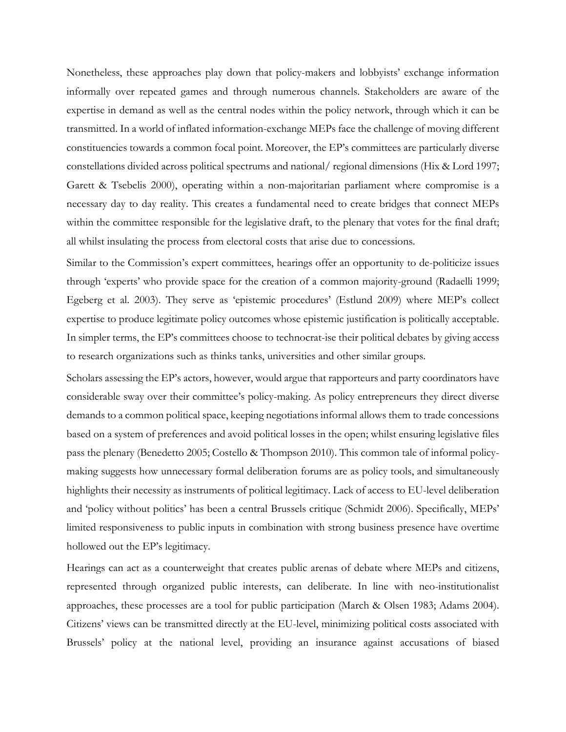Nonetheless, these approaches play down that policy-makers and lobbyists' exchange information informally over repeated games and through numerous channels. Stakeholders are aware of the expertise in demand as well as the central nodes within the policy network, through which it can be transmitted. In a world of inflated information-exchange MEPs face the challenge of moving different constituencies towards a common focal point. Moreover, the EP's committees are particularly diverse constellations divided across political spectrums and national/ regional dimensions (Hix & Lord 1997; Garett & Tsebelis 2000), operating within a non-majoritarian parliament where compromise is a necessary day to day reality. This creates a fundamental need to create bridges that connect MEPs within the committee responsible for the legislative draft, to the plenary that votes for the final draft; all whilst insulating the process from electoral costs that arise due to concessions.

Similar to the Commission's expert committees, hearings offer an opportunity to de-politicize issues through 'experts' who provide space for the creation of a common majority-ground (Radaelli 1999; Egeberg et al. 2003). They serve as 'epistemic procedures' (Estlund 2009) where MEP's collect expertise to produce legitimate policy outcomes whose epistemic justification is politically acceptable. In simpler terms, the EP's committees choose to technocrat-ise their political debates by giving access to research organizations such as thinks tanks, universities and other similar groups.

Scholars assessing the EP's actors, however, would argue that rapporteurs and party coordinators have considerable sway over their committee's policy-making. As policy entrepreneurs they direct diverse demands to a common political space, keeping negotiations informal allows them to trade concessions based on a system of preferences and avoid political losses in the open; whilst ensuring legislative files pass the plenary (Benedetto 2005; Costello & Thompson 2010). This common tale of informal policymaking suggests how unnecessary formal deliberation forums are as policy tools, and simultaneously highlights their necessity as instruments of political legitimacy. Lack of access to EU-level deliberation and 'policy without politics' has been a central Brussels critique (Schmidt 2006). Specifically, MEPs' limited responsiveness to public inputs in combination with strong business presence have overtime hollowed out the EP's legitimacy.

Hearings can act as a counterweight that creates public arenas of debate where MEPs and citizens, represented through organized public interests, can deliberate. In line with neo-institutionalist approaches, these processes are a tool for public participation (March & Olsen 1983; Adams 2004). Citizens' views can be transmitted directly at the EU-level, minimizing political costs associated with Brussels' policy at the national level, providing an insurance against accusations of biased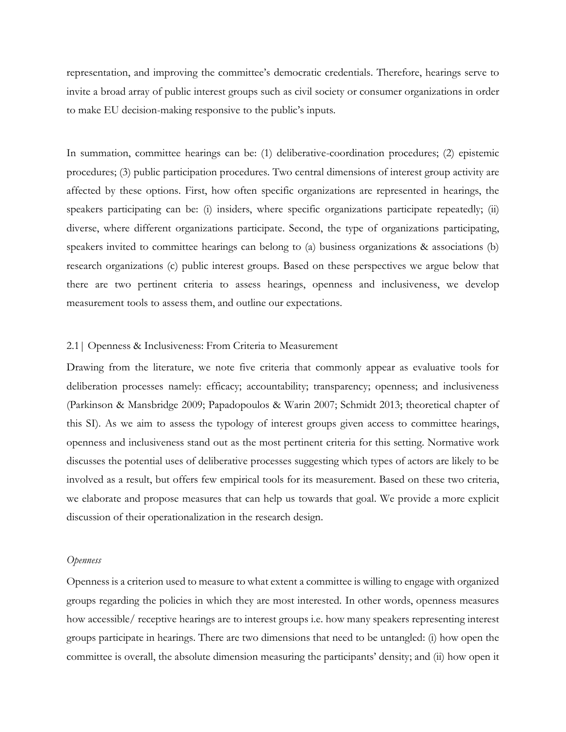representation, and improving the committee's democratic credentials. Therefore, hearings serve to invite a broad array of public interest groups such as civil society or consumer organizations in order to make EU decision-making responsive to the public's inputs.

In summation, committee hearings can be: (1) deliberative-coordination procedures; (2) epistemic procedures; (3) public participation procedures. Two central dimensions of interest group activity are affected by these options. First, how often specific organizations are represented in hearings, the speakers participating can be: (i) insiders, where specific organizations participate repeatedly; (ii) diverse, where different organizations participate. Second, the type of organizations participating, speakers invited to committee hearings can belong to (a) business organizations & associations (b) research organizations (c) public interest groups. Based on these perspectives we argue below that there are two pertinent criteria to assess hearings, openness and inclusiveness, we develop measurement tools to assess them, and outline our expectations.

### 2.1| Openness & Inclusiveness: From Criteria to Measurement

Drawing from the literature, we note five criteria that commonly appear as evaluative tools for deliberation processes namely: efficacy; accountability; transparency; openness; and inclusiveness (Parkinson & Mansbridge 2009; Papadopoulos & Warin 2007; Schmidt 2013; theoretical chapter of this SI). As we aim to assess the typology of interest groups given access to committee hearings, openness and inclusiveness stand out as the most pertinent criteria for this setting. Normative work discusses the potential uses of deliberative processes suggesting which types of actors are likely to be involved as a result, but offers few empirical tools for its measurement. Based on these two criteria, we elaborate and propose measures that can help us towards that goal. We provide a more explicit discussion of their operationalization in the research design.

#### *Openness*

Openness is a criterion used to measure to what extent a committee is willing to engage with organized groups regarding the policies in which they are most interested. In other words, openness measures how accessible/ receptive hearings are to interest groups i.e. how many speakers representing interest groups participate in hearings. There are two dimensions that need to be untangled: (i) how open the committee is overall, the absolute dimension measuring the participants' density; and (ii) how open it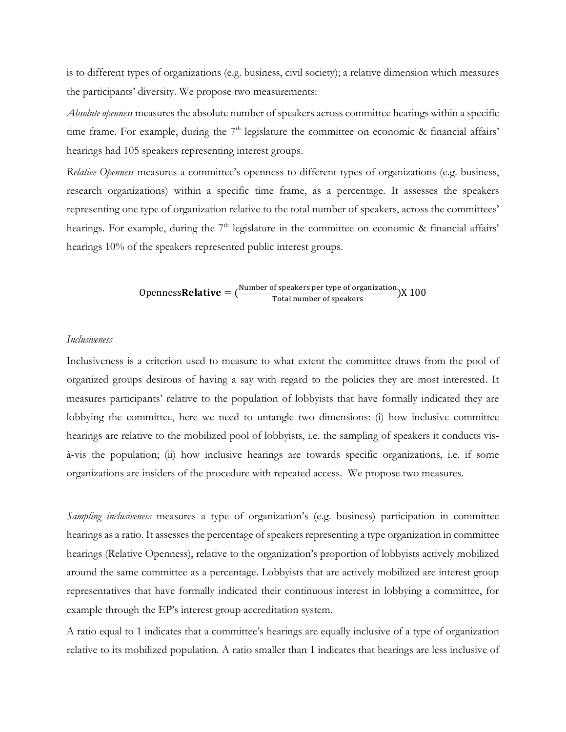is to different types of organizations (e.g. business, civil society); a relative dimension which measures the participants' diversity. We propose two measurements:

*Absolute openness* measures the absolute number of speakers across committee hearings within a specific time frame. For example, during the  $7<sup>th</sup>$  legislature the committee on economic & financial affairs' hearings had 105 speakers representing interest groups.

*Relative Openness* measures a committee's openness to different types of organizations (e.g. business, research organizations) within a specific time frame, as a percentage. It assesses the speakers representing one type of organization relative to the total number of speakers, across the committees' hearings. For example, during the  $7<sup>th</sup>$  legislature in the committee on economic & financial affairs' hearings 10% of the speakers represented public interest groups.

Openness **Relative** =  $\frac{\text{Number of speakers per type of organization}}{\text{Total number of speakers}}$  (X 100)

# *Inclusiveness*

Inclusiveness is a criterion used to measure to what extent the committee draws from the pool of organized groups desirous of having a say with regard to the policies they are most interested. It measures participants' relative to the population of lobbyists that have formally indicated they are lobbying the committee, here we need to untangle two dimensions: (i) how inclusive committee hearings are relative to the mobilized pool of lobbyists, i.e. the sampling of speakers it conducts visà-vis the population; (ii) how inclusive hearings are towards specific organizations, i.e. if some organizations are insiders of the procedure with repeated access. We propose two measures.

*Sampling inclusiveness* measures a type of organization's (e.g. business) participation in committee hearings as a ratio. It assesses the percentage of speakers representing a type organization in committee hearings (Relative Openness), relative to the organization's proportion of lobbyists actively mobilized around the same committee as a percentage. Lobbyists that are actively mobilized are interest group representatives that have formally indicated their continuous interest in lobbying a committee, for example through the EP's interest group accreditation system.

A ratio equal to 1 indicates that a committee's hearings are equally inclusive of a type of organization relative to its mobilized population. A ratio smaller than 1 indicates that hearings are less inclusive of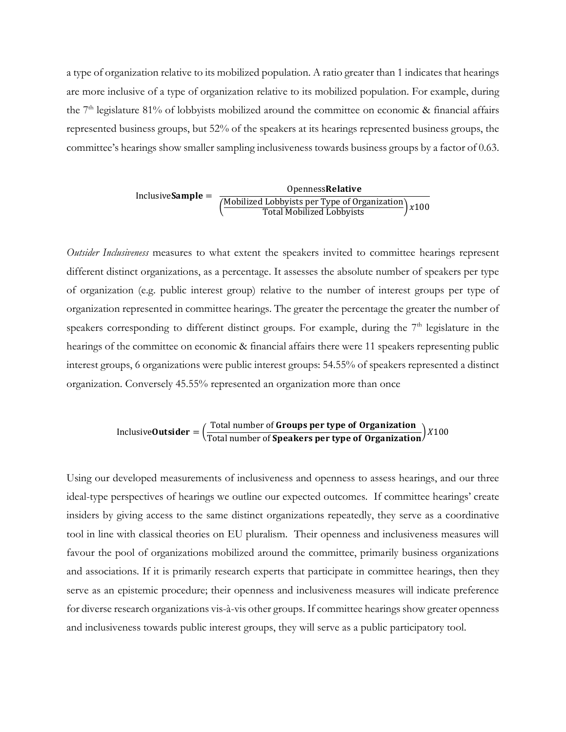a type of organization relative to its mobilized population. A ratio greater than 1 indicates that hearings are more inclusive of a type of organization relative to its mobilized population. For example, during the  $7<sup>th</sup>$  legislature 81% of lobbyists mobilized around the committee on economic & financial affairs represented business groups, but 52% of the speakers at its hearings represented business groups, the committee's hearings show smaller sampling inclusiveness towards business groups by a factor of 0.63.

> Inclusive = Openness (Mobilized Lobbyists per Type of Organization) x100<br>Total Mobilized Lobbyists

*Outsider Inclusiveness* measures to what extent the speakers invited to committee hearings represent different distinct organizations, as a percentage. It assesses the absolute number of speakers per type of organization (e.g. public interest group) relative to the number of interest groups per type of organization represented in committee hearings. The greater the percentage the greater the number of speakers corresponding to different distinct groups. For example, during the  $7<sup>th</sup>$  legislature in the hearings of the committee on economic & financial affairs there were 11 speakers representing public interest groups, 6 organizations were public interest groups: 54.55% of speakers represented a distinct organization. Conversely 45.55% represented an organization more than once

Inclusive**Outsideer** = 
$$
\left(\frac{\text{Total number of Groups per type of Organization}}{\text{Total number of Speakers per type of Organization}\right)X100}
$$

Using our developed measurements of inclusiveness and openness to assess hearings, and our three ideal-type perspectives of hearings we outline our expected outcomes. If committee hearings' create insiders by giving access to the same distinct organizations repeatedly, they serve as a coordinative tool in line with classical theories on EU pluralism. Their openness and inclusiveness measures will favour the pool of organizations mobilized around the committee, primarily business organizations and associations. If it is primarily research experts that participate in committee hearings, then they serve as an epistemic procedure; their openness and inclusiveness measures will indicate preference for diverse research organizations vis-à-vis other groups. If committee hearings show greater openness and inclusiveness towards public interest groups, they will serve as a public participatory tool.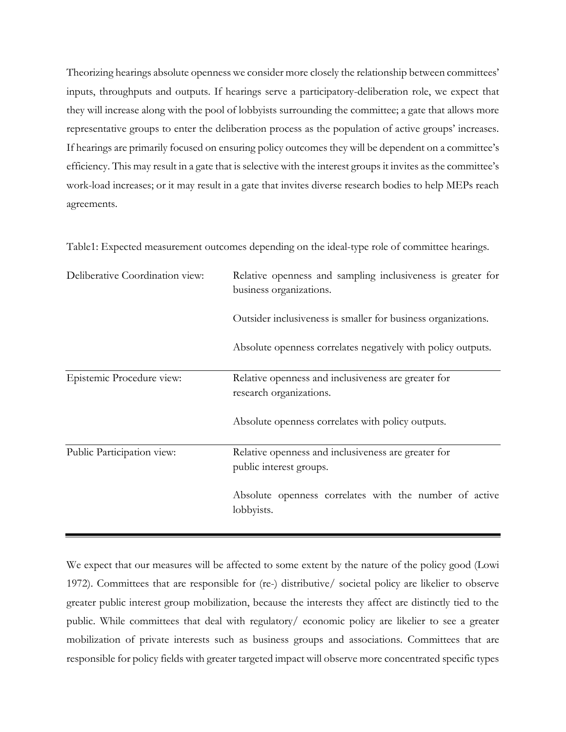Theorizing hearings absolute openness we consider more closely the relationship between committees' inputs, throughputs and outputs. If hearings serve a participatory-deliberation role, we expect that they will increase along with the pool of lobbyists surrounding the committee; a gate that allows more representative groups to enter the deliberation process as the population of active groups' increases. If hearings are primarily focused on ensuring policy outcomes they will be dependent on a committee's efficiency. This may result in a gate that is selective with the interest groups it invites as the committee's work-load increases; or it may result in a gate that invites diverse research bodies to help MEPs reach agreements.

| Deliberative Coordination view: | Relative openness and sampling inclusiveness is greater for<br>business organizations. |  |  |
|---------------------------------|----------------------------------------------------------------------------------------|--|--|
|                                 | Outsider inclusiveness is smaller for business organizations.                          |  |  |
|                                 | Absolute openness correlates negatively with policy outputs.                           |  |  |
| Epistemic Procedure view:       | Relative openness and inclusiveness are greater for<br>research organizations.         |  |  |
|                                 | Absolute openness correlates with policy outputs.                                      |  |  |
| Public Participation view:      | Relative openness and inclusiveness are greater for                                    |  |  |
|                                 | public interest groups.                                                                |  |  |
|                                 | Absolute openness correlates with the number of active<br>lobbyists.                   |  |  |

Table1: Expected measurement outcomes depending on the ideal-type role of committee hearings.

We expect that our measures will be affected to some extent by the nature of the policy good (Lowi 1972). Committees that are responsible for (re-) distributive/ societal policy are likelier to observe greater public interest group mobilization, because the interests they affect are distinctly tied to the public. While committees that deal with regulatory/ economic policy are likelier to see a greater mobilization of private interests such as business groups and associations. Committees that are responsible for policy fields with greater targeted impact will observe more concentrated specific types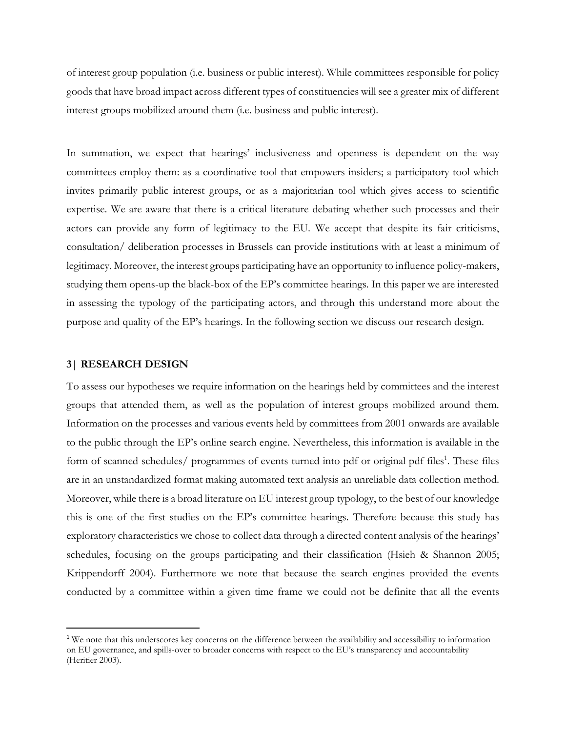of interest group population (i.e. business or public interest). While committees responsible for policy goods that have broad impact across different types of constituencies will see a greater mix of different interest groups mobilized around them (i.e. business and public interest).

In summation, we expect that hearings' inclusiveness and openness is dependent on the way committees employ them: as a coordinative tool that empowers insiders; a participatory tool which invites primarily public interest groups, or as a majoritarian tool which gives access to scientific expertise. We are aware that there is a critical literature debating whether such processes and their actors can provide any form of legitimacy to the EU. We accept that despite its fair criticisms, consultation/ deliberation processes in Brussels can provide institutions with at least a minimum of legitimacy. Moreover, the interest groups participating have an opportunity to influence policy-makers, studying them opens-up the black-box of the EP's committee hearings. In this paper we are interested in assessing the typology of the participating actors, and through this understand more about the purpose and quality of the EP's hearings. In the following section we discuss our research design.

#### **3| RESEARCH DESIGN**

 $\overline{a}$ 

To assess our hypotheses we require information on the hearings held by committees and the interest groups that attended them, as well as the population of interest groups mobilized around them. Information on the processes and various events held by committees from 2001 onwards are available to the public through the EP's online search engine. Nevertheless, this information is available in the form of scanned schedules/ programmes of events turned into pdf or original pdf files<sup>1</sup>. These files are in an unstandardized format making automated text analysis an unreliable data collection method. Moreover, while there is a broad literature on EU interest group typology, to the best of our knowledge this is one of the first studies on the EP's committee hearings. Therefore because this study has exploratory characteristics we chose to collect data through a directed content analysis of the hearings' schedules, focusing on the groups participating and their classification (Hsieh & Shannon 2005; Krippendorff 2004). Furthermore we note that because the search engines provided the events conducted by a committee within a given time frame we could not be definite that all the events

<sup>&</sup>lt;sup>1</sup> We note that this underscores key concerns on the difference between the availability and accessibility to information on EU governance, and spills-over to broader concerns with respect to the EU's transparency and accountability (Heritier 2003).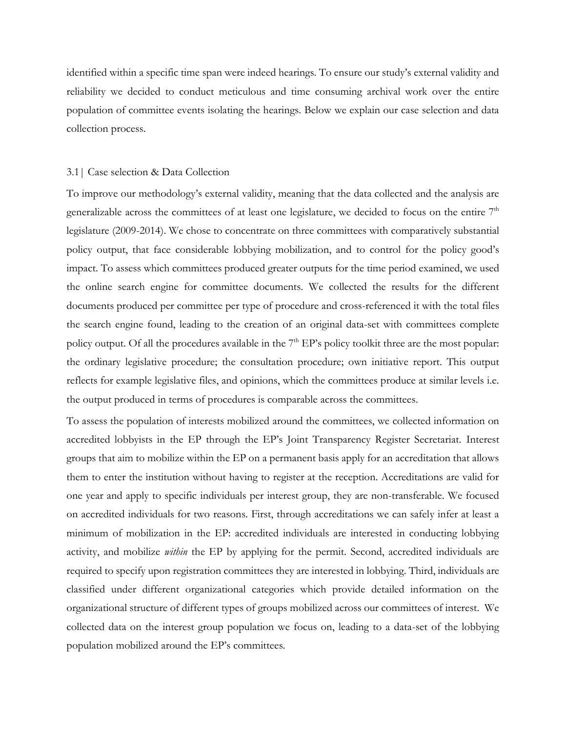identified within a specific time span were indeed hearings. To ensure our study's external validity and reliability we decided to conduct meticulous and time consuming archival work over the entire population of committee events isolating the hearings. Below we explain our case selection and data collection process.

#### 3.1| Case selection & Data Collection

To improve our methodology's external validity, meaning that the data collected and the analysis are generalizable across the committees of at least one legislature, we decided to focus on the entire  $7<sup>th</sup>$ legislature (2009-2014). We chose to concentrate on three committees with comparatively substantial policy output, that face considerable lobbying mobilization, and to control for the policy good's impact. To assess which committees produced greater outputs for the time period examined, we used the online search engine for committee documents. We collected the results for the different documents produced per committee per type of procedure and cross-referenced it with the total files the search engine found, leading to the creation of an original data-set with committees complete policy output. Of all the procedures available in the  $7<sup>th</sup> EP's$  policy toolkit three are the most popular: the ordinary legislative procedure; the consultation procedure; own initiative report. This output reflects for example legislative files, and opinions, which the committees produce at similar levels i.e. the output produced in terms of procedures is comparable across the committees.

To assess the population of interests mobilized around the committees, we collected information on accredited lobbyists in the EP through the EP's Joint Transparency Register Secretariat. Interest groups that aim to mobilize within the EP on a permanent basis apply for an accreditation that allows them to enter the institution without having to register at the reception. Accreditations are valid for one year and apply to specific individuals per interest group, they are non-transferable. We focused on accredited individuals for two reasons. First, through accreditations we can safely infer at least a minimum of mobilization in the EP: accredited individuals are interested in conducting lobbying activity, and mobilize *within* the EP by applying for the permit. Second, accredited individuals are required to specify upon registration committees they are interested in lobbying. Third, individuals are classified under different organizational categories which provide detailed information on the organizational structure of different types of groups mobilized across our committees of interest. We collected data on the interest group population we focus on, leading to a data-set of the lobbying population mobilized around the EP's committees.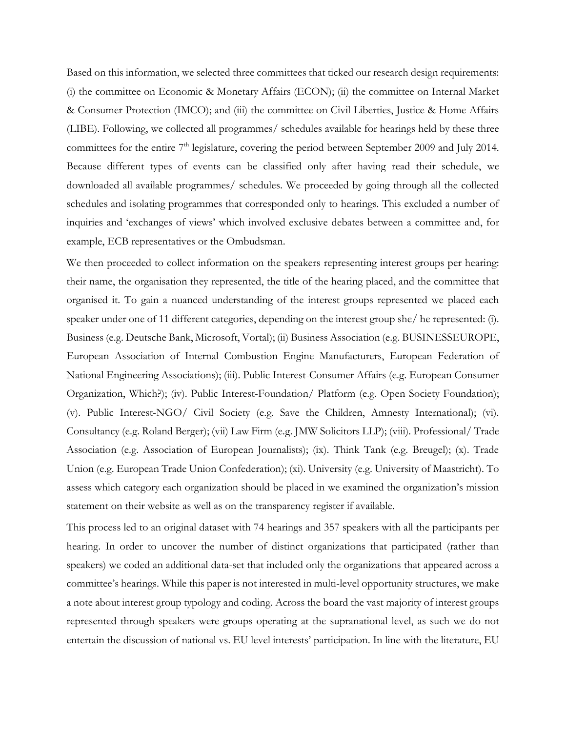Based on this information, we selected three committees that ticked our research design requirements: (i) the committee on Economic & Monetary Affairs (ECON); (ii) the committee on Internal Market & Consumer Protection (IMCO); and (iii) the committee on Civil Liberties, Justice & Home Affairs (LIBE). Following, we collected all programmes/ schedules available for hearings held by these three committees for the entire  $7<sup>th</sup>$  legislature, covering the period between September 2009 and July 2014. Because different types of events can be classified only after having read their schedule, we downloaded all available programmes/ schedules. We proceeded by going through all the collected schedules and isolating programmes that corresponded only to hearings. This excluded a number of inquiries and 'exchanges of views' which involved exclusive debates between a committee and, for example, ECB representatives or the Ombudsman.

We then proceeded to collect information on the speakers representing interest groups per hearing: their name, the organisation they represented, the title of the hearing placed, and the committee that organised it. To gain a nuanced understanding of the interest groups represented we placed each speaker under one of 11 different categories, depending on the interest group she/ he represented: (i). Business (e.g. Deutsche Bank, Microsoft, Vortal); (ii) Business Association (e.g. BUSINESSEUROPE, European Association of Internal Combustion Engine Manufacturers, European Federation of National Engineering Associations); (iii). Public Interest-Consumer Affairs (e.g. European Consumer Organization, Which?); (iv). Public Interest-Foundation/ Platform (e.g. Open Society Foundation); (v). Public Interest-NGO/ Civil Society (e.g. Save the Children, Amnesty International); (vi). Consultancy (e.g. Roland Berger); (vii) Law Firm (e.g. JMW Solicitors LLP); (viii). Professional/ Trade Association (e.g. Association of European Journalists); (ix). Think Tank (e.g. Breugel); (x). Trade Union (e.g. European Trade Union Confederation); (xi). University (e.g. University of Maastricht). To assess which category each organization should be placed in we examined the organization's mission statement on their website as well as on the transparency register if available.

This process led to an original dataset with 74 hearings and 357 speakers with all the participants per hearing. In order to uncover the number of distinct organizations that participated (rather than speakers) we coded an additional data-set that included only the organizations that appeared across a committee's hearings. While this paper is not interested in multi-level opportunity structures, we make a note about interest group typology and coding. Across the board the vast majority of interest groups represented through speakers were groups operating at the supranational level, as such we do not entertain the discussion of national vs. EU level interests' participation. In line with the literature, EU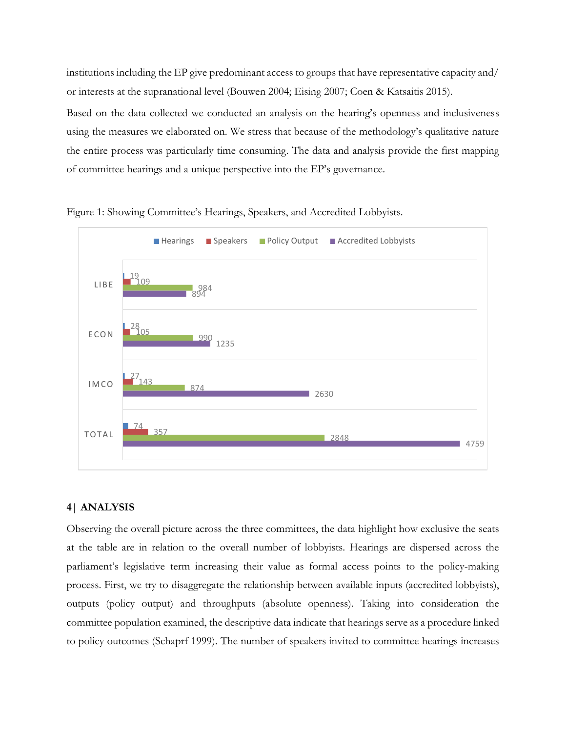institutions including the EP give predominant access to groups that have representative capacity and/ or interests at the supranational level (Bouwen 2004; Eising 2007; Coen & Katsaitis 2015).

Based on the data collected we conducted an analysis on the hearing's openness and inclusiveness using the measures we elaborated on. We stress that because of the methodology's qualitative nature the entire process was particularly time consuming. The data and analysis provide the first mapping of committee hearings and a unique perspective into the EP's governance.



Figure 1: Showing Committee's Hearings, Speakers, and Accredited Lobbyists.

### **4| ANALYSIS**

Observing the overall picture across the three committees, the data highlight how exclusive the seats at the table are in relation to the overall number of lobbyists. Hearings are dispersed across the parliament's legislative term increasing their value as formal access points to the policy-making process. First, we try to disaggregate the relationship between available inputs (accredited lobbyists), outputs (policy output) and throughputs (absolute openness). Taking into consideration the committee population examined, the descriptive data indicate that hearings serve as a procedure linked to policy outcomes (Schaprf 1999). The number of speakers invited to committee hearings increases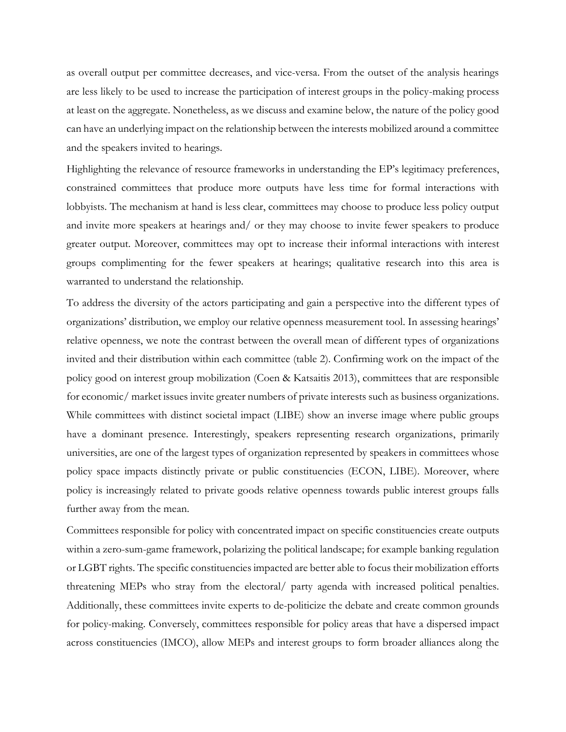as overall output per committee decreases, and vice-versa. From the outset of the analysis hearings are less likely to be used to increase the participation of interest groups in the policy-making process at least on the aggregate. Nonetheless, as we discuss and examine below, the nature of the policy good can have an underlying impact on the relationship between the interests mobilized around a committee and the speakers invited to hearings.

Highlighting the relevance of resource frameworks in understanding the EP's legitimacy preferences, constrained committees that produce more outputs have less time for formal interactions with lobbyists. The mechanism at hand is less clear, committees may choose to produce less policy output and invite more speakers at hearings and/ or they may choose to invite fewer speakers to produce greater output. Moreover, committees may opt to increase their informal interactions with interest groups complimenting for the fewer speakers at hearings; qualitative research into this area is warranted to understand the relationship.

To address the diversity of the actors participating and gain a perspective into the different types of organizations' distribution, we employ our relative openness measurement tool. In assessing hearings' relative openness, we note the contrast between the overall mean of different types of organizations invited and their distribution within each committee (table 2). Confirming work on the impact of the policy good on interest group mobilization (Coen & Katsaitis 2013), committees that are responsible for economic/ market issues invite greater numbers of private interests such as business organizations. While committees with distinct societal impact (LIBE) show an inverse image where public groups have a dominant presence. Interestingly, speakers representing research organizations, primarily universities, are one of the largest types of organization represented by speakers in committees whose policy space impacts distinctly private or public constituencies (ECON, LIBE). Moreover, where policy is increasingly related to private goods relative openness towards public interest groups falls further away from the mean.

Committees responsible for policy with concentrated impact on specific constituencies create outputs within a zero-sum-game framework, polarizing the political landscape; for example banking regulation or LGBT rights. The specific constituencies impacted are better able to focus their mobilization efforts threatening MEPs who stray from the electoral/ party agenda with increased political penalties. Additionally, these committees invite experts to de-politicize the debate and create common grounds for policy-making. Conversely, committees responsible for policy areas that have a dispersed impact across constituencies (IMCO), allow MEPs and interest groups to form broader alliances along the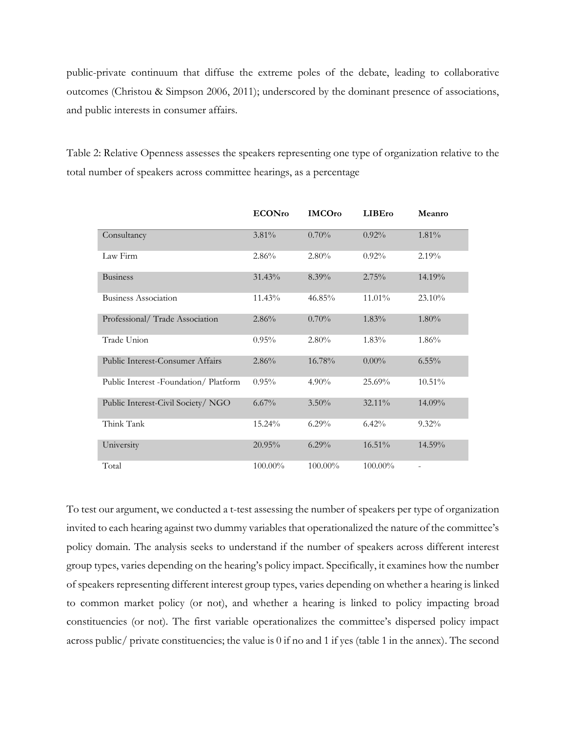public-private continuum that diffuse the extreme poles of the debate, leading to collaborative outcomes (Christou & Simpson 2006, 2011); underscored by the dominant presence of associations, and public interests in consumer affairs.

Table 2: Relative Openness assesses the speakers representing one type of organization relative to the total number of speakers across committee hearings, as a percentage

|                                         | <b>ECONro</b> | <b>IMCOro</b> | <b>LIBEro</b> | Meanro                   |
|-----------------------------------------|---------------|---------------|---------------|--------------------------|
| Consultancy                             | 3.81%         | 0.70%         | $0.92\%$      | 1.81%                    |
| Law Firm                                | 2.86%         | $2.80\%$      | $0.92\%$      | 2.19%                    |
| <b>Business</b>                         | 31.43%        | $8.39\%$      | 2.75%         | 14.19%                   |
| Business Association                    | 11.43%        | 46.85%        | 11.01%        | 23.10%                   |
| Professional/ Trade Association         | 2.86%         | 0.70%         | $1.83\%$      | $1.80\%$                 |
| Trade Union                             | 0.95%         | $2.80\%$      | $1.83\%$      | $1.86\%$                 |
| <b>Public Interest-Consumer Affairs</b> | 2.86%         | 16.78%        | $0.00\%$      | $6.55\%$                 |
| Public Interest -Foundation/Platform    | 0.95%         | $4.90\%$      | 25.69%        | 10.51%                   |
| Public Interest-Civil Society/NGO       | 6.67%         | $3.50\%$      | 32.11%        | 14.09%                   |
| Think Tank                              | 15.24%        | $6.29\%$      | $6.42\%$      | $9.32\%$                 |
| University                              | 20.95%        | $6.29\%$      | 16.51%        | 14.59%                   |
| Total                                   | 100.00%       | 100.00%       | 100.00%       | $\overline{\phantom{a}}$ |

To test our argument, we conducted a t-test assessing the number of speakers per type of organization invited to each hearing against two dummy variables that operationalized the nature of the committee's policy domain. The analysis seeks to understand if the number of speakers across different interest group types, varies depending on the hearing's policy impact. Specifically, it examines how the number of speakers representing different interest group types, varies depending on whether a hearing is linked to common market policy (or not), and whether a hearing is linked to policy impacting broad constituencies (or not). The first variable operationalizes the committee's dispersed policy impact across public/ private constituencies; the value is 0 if no and 1 if yes (table 1 in the annex). The second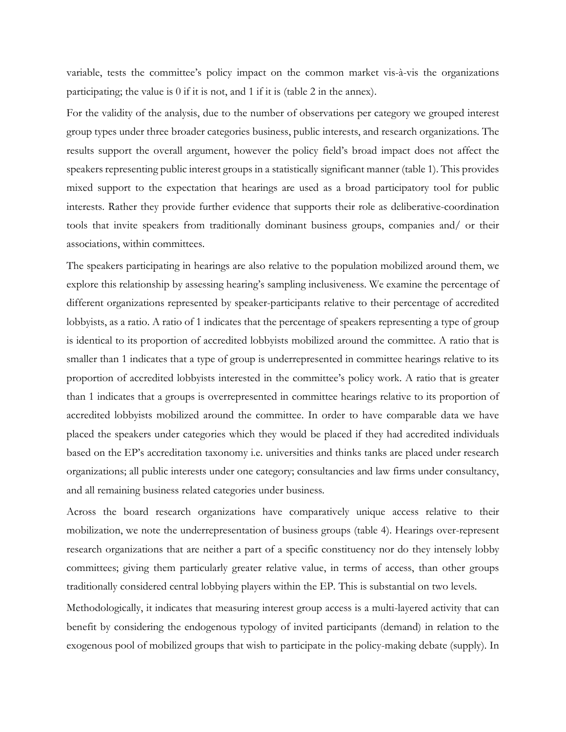variable, tests the committee's policy impact on the common market vis-à-vis the organizations participating; the value is 0 if it is not, and 1 if it is (table 2 in the annex).

For the validity of the analysis, due to the number of observations per category we grouped interest group types under three broader categories business, public interests, and research organizations. The results support the overall argument, however the policy field's broad impact does not affect the speakers representing public interest groups in a statistically significant manner (table 1). This provides mixed support to the expectation that hearings are used as a broad participatory tool for public interests. Rather they provide further evidence that supports their role as deliberative-coordination tools that invite speakers from traditionally dominant business groups, companies and/ or their associations, within committees.

The speakers participating in hearings are also relative to the population mobilized around them, we explore this relationship by assessing hearing's sampling inclusiveness. We examine the percentage of different organizations represented by speaker-participants relative to their percentage of accredited lobbyists, as a ratio. A ratio of 1 indicates that the percentage of speakers representing a type of group is identical to its proportion of accredited lobbyists mobilized around the committee. A ratio that is smaller than 1 indicates that a type of group is underrepresented in committee hearings relative to its proportion of accredited lobbyists interested in the committee's policy work. A ratio that is greater than 1 indicates that a groups is overrepresented in committee hearings relative to its proportion of accredited lobbyists mobilized around the committee. In order to have comparable data we have placed the speakers under categories which they would be placed if they had accredited individuals based on the EP's accreditation taxonomy i.e. universities and thinks tanks are placed under research organizations; all public interests under one category; consultancies and law firms under consultancy, and all remaining business related categories under business.

Across the board research organizations have comparatively unique access relative to their mobilization, we note the underrepresentation of business groups (table 4). Hearings over-represent research organizations that are neither a part of a specific constituency nor do they intensely lobby committees; giving them particularly greater relative value, in terms of access, than other groups traditionally considered central lobbying players within the EP. This is substantial on two levels.

Methodologically, it indicates that measuring interest group access is a multi-layered activity that can benefit by considering the endogenous typology of invited participants (demand) in relation to the exogenous pool of mobilized groups that wish to participate in the policy-making debate (supply). In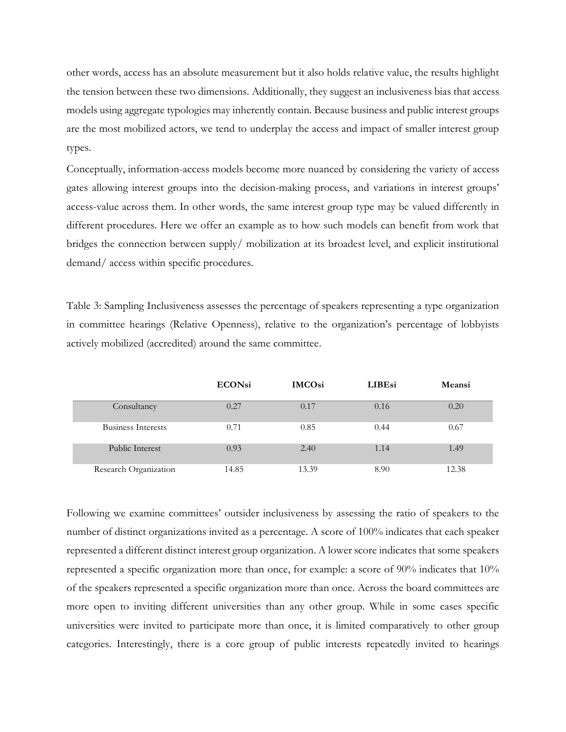other words, access has an absolute measurement but it also holds relative value, the results highlight the tension between these two dimensions. Additionally, they suggest an inclusiveness bias that access models using aggregate typologies may inherently contain. Because business and public interest groups are the most mobilized actors, we tend to underplay the access and impact of smaller interest group types.

Conceptually, information-access models become more nuanced by considering the variety of access gates allowing interest groups into the decision-making process, and variations in interest groups' access-value across them. In other words, the same interest group type may be valued differently in different procedures. Here we offer an example as to how such models can benefit from work that bridges the connection between supply/ mobilization at its broadest level, and explicit institutional demand/ access within specific procedures.

Table 3: Sampling Inclusiveness assesses the percentage of speakers representing a type organization in committee hearings (Relative Openness), relative to the organization's percentage of lobbyists actively mobilized (accredited) around the same committee.

|                           | <b>ECONsi</b> | <b>IMCOsi</b> | <b>LIBEsi</b> | Meansi |
|---------------------------|---------------|---------------|---------------|--------|
| Consultancy               | 0.27          | 0.17          | 0.16          | 0.20   |
| <b>Business Interests</b> | 0.71          | 0.85          | 0.44          | 0.67   |
| Public Interest           | 0.93          | 2.40          | 1.14          | 1.49   |
| Research Organization     | 14.85         | 13.39         | 8.90          | 12.38  |

Following we examine committees' outsider inclusiveness by assessing the ratio of speakers to the number of distinct organizations invited as a percentage. A score of 100% indicates that each speaker represented a different distinct interest group organization. A lower score indicates that some speakers represented a specific organization more than once, for example: a score of 90% indicates that 10% of the speakers represented a specific organization more than once. Across the board committees are more open to inviting different universities than any other group. While in some cases specific universities were invited to participate more than once, it is limited comparatively to other group categories. Interestingly, there is a core group of public interests repeatedly invited to hearings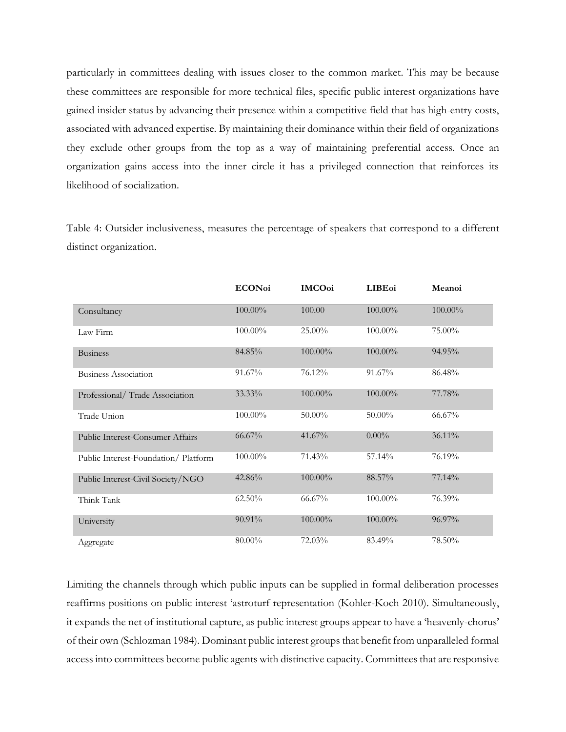particularly in committees dealing with issues closer to the common market. This may be because these committees are responsible for more technical files, specific public interest organizations have gained insider status by advancing their presence within a competitive field that has high-entry costs, associated with advanced expertise. By maintaining their dominance within their field of organizations they exclude other groups from the top as a way of maintaining preferential access. Once an organization gains access into the inner circle it has a privileged connection that reinforces its likelihood of socialization.

Table 4: Outsider inclusiveness, measures the percentage of speakers that correspond to a different distinct organization.

|                                      | <b>ECONoi</b> | <b>IMCOoi</b> | <b>LIBE</b> <sub>oi</sub> | Meanoi  |  |
|--------------------------------------|---------------|---------------|---------------------------|---------|--|
| Consultancy                          | 100.00%       | 100.00        | 100.00%                   | 100.00% |  |
| Law Firm                             | 100.00%       | 25.00%        | 100.00%                   | 75.00%  |  |
| <b>Business</b>                      | 84.85%        | 100.00%       | 100.00%                   | 94.95%  |  |
| <b>Business Association</b>          | 91.67%        | 76.12%        | 91.67%                    | 86.48%  |  |
| Professional/Trade Association       | 33.33%        | 100.00%       | 100.00%                   | 77.78%  |  |
| Trade Union                          | 100.00%       | 50.00%        | 50.00%                    | 66.67%  |  |
| Public Interest-Consumer Affairs     | 66.67%        | 41.67%        | $0.00\%$                  | 36.11%  |  |
| Public Interest-Foundation/ Platform | 100.00%       | 71.43%        | 57.14%                    | 76.19%  |  |
| Public Interest-Civil Society/NGO    | 42.86%        | 100.00%       | 88.57%                    | 77.14%  |  |
| Think Tank                           | $62.50\%$     | 66.67%        | 100.00%                   | 76.39%  |  |
| University                           | 90.91%        | 100.00%       | 100.00%                   | 96.97%  |  |
| Aggregate                            | 80.00%        | 72.03%        | 83.49%                    | 78.50%  |  |

Limiting the channels through which public inputs can be supplied in formal deliberation processes reaffirms positions on public interest 'astroturf representation (Kohler-Koch 2010). Simultaneously, it expands the net of institutional capture, as public interest groups appear to have a 'heavenly-chorus' of their own (Schlozman 1984). Dominant public interest groups that benefit from unparalleled formal access into committees become public agents with distinctive capacity. Committees that are responsive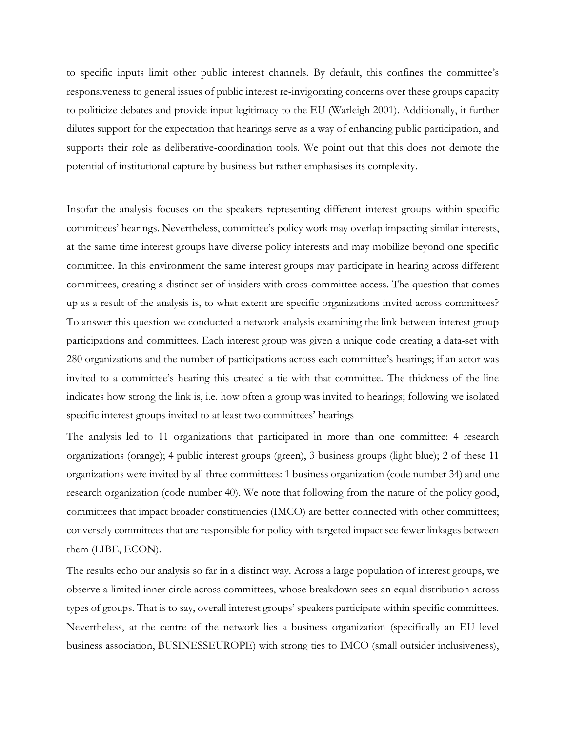to specific inputs limit other public interest channels. By default, this confines the committee's responsiveness to general issues of public interest re-invigorating concerns over these groups capacity to politicize debates and provide input legitimacy to the EU (Warleigh 2001). Additionally, it further dilutes support for the expectation that hearings serve as a way of enhancing public participation, and supports their role as deliberative-coordination tools. We point out that this does not demote the potential of institutional capture by business but rather emphasises its complexity.

Insofar the analysis focuses on the speakers representing different interest groups within specific committees' hearings. Nevertheless, committee's policy work may overlap impacting similar interests, at the same time interest groups have diverse policy interests and may mobilize beyond one specific committee. In this environment the same interest groups may participate in hearing across different committees, creating a distinct set of insiders with cross-committee access. The question that comes up as a result of the analysis is, to what extent are specific organizations invited across committees? To answer this question we conducted a network analysis examining the link between interest group participations and committees. Each interest group was given a unique code creating a data-set with 280 organizations and the number of participations across each committee's hearings; if an actor was invited to a committee's hearing this created a tie with that committee. The thickness of the line indicates how strong the link is, i.e. how often a group was invited to hearings; following we isolated specific interest groups invited to at least two committees' hearings

The analysis led to 11 organizations that participated in more than one committee: 4 research organizations (orange); 4 public interest groups (green), 3 business groups (light blue); 2 of these 11 organizations were invited by all three committees: 1 business organization (code number 34) and one research organization (code number 40). We note that following from the nature of the policy good, committees that impact broader constituencies (IMCO) are better connected with other committees; conversely committees that are responsible for policy with targeted impact see fewer linkages between them (LIBE, ECON).

The results echo our analysis so far in a distinct way. Across a large population of interest groups, we observe a limited inner circle across committees, whose breakdown sees an equal distribution across types of groups. That is to say, overall interest groups' speakers participate within specific committees. Nevertheless, at the centre of the network lies a business organization (specifically an EU level business association, BUSINESSEUROPE) with strong ties to IMCO (small outsider inclusiveness),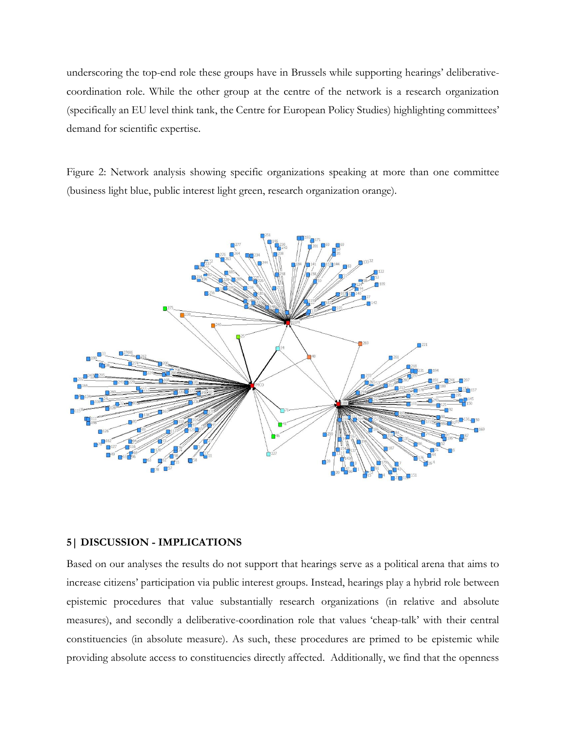underscoring the top-end role these groups have in Brussels while supporting hearings' deliberativecoordination role. While the other group at the centre of the network is a research organization (specifically an EU level think tank, the Centre for European Policy Studies) highlighting committees' demand for scientific expertise.

Figure 2: Network analysis showing specific organizations speaking at more than one committee (business light blue, public interest light green, research organization orange).



# **5| DISCUSSION - IMPLICATIONS**

Based on our analyses the results do not support that hearings serve as a political arena that aims to increase citizens' participation via public interest groups. Instead, hearings play a hybrid role between epistemic procedures that value substantially research organizations (in relative and absolute measures), and secondly a deliberative-coordination role that values 'cheap-talk' with their central constituencies (in absolute measure). As such, these procedures are primed to be epistemic while providing absolute access to constituencies directly affected. Additionally, we find that the openness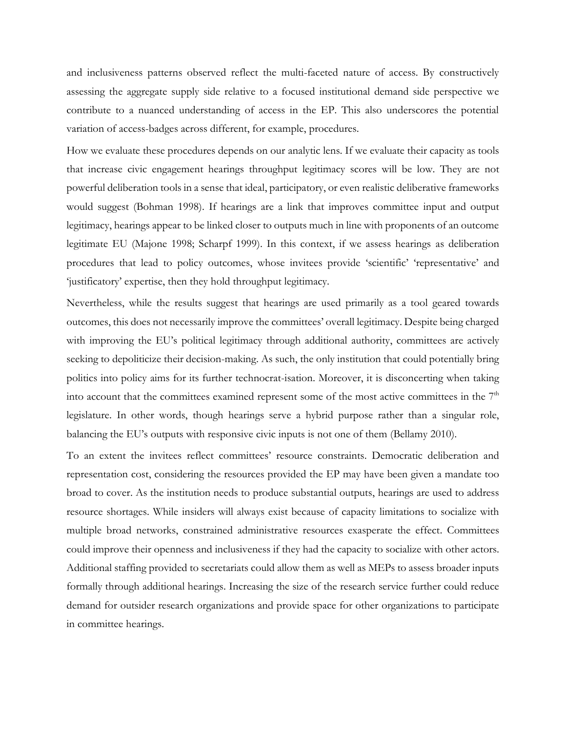and inclusiveness patterns observed reflect the multi-faceted nature of access. By constructively assessing the aggregate supply side relative to a focused institutional demand side perspective we contribute to a nuanced understanding of access in the EP. This also underscores the potential variation of access-badges across different, for example, procedures.

How we evaluate these procedures depends on our analytic lens. If we evaluate their capacity as tools that increase civic engagement hearings throughput legitimacy scores will be low. They are not powerful deliberation tools in a sense that ideal, participatory, or even realistic deliberative frameworks would suggest (Bohman 1998). If hearings are a link that improves committee input and output legitimacy, hearings appear to be linked closer to outputs much in line with proponents of an outcome legitimate EU (Majone 1998; Scharpf 1999). In this context, if we assess hearings as deliberation procedures that lead to policy outcomes, whose invitees provide 'scientific' 'representative' and 'justificatory' expertise, then they hold throughput legitimacy.

Nevertheless, while the results suggest that hearings are used primarily as a tool geared towards outcomes, this does not necessarily improve the committees' overall legitimacy. Despite being charged with improving the EU's political legitimacy through additional authority, committees are actively seeking to depoliticize their decision-making. As such, the only institution that could potentially bring politics into policy aims for its further technocrat-isation. Moreover, it is disconcerting when taking into account that the committees examined represent some of the most active committees in the 7<sup>th</sup> legislature. In other words, though hearings serve a hybrid purpose rather than a singular role, balancing the EU's outputs with responsive civic inputs is not one of them (Bellamy 2010).

To an extent the invitees reflect committees' resource constraints. Democratic deliberation and representation cost, considering the resources provided the EP may have been given a mandate too broad to cover. As the institution needs to produce substantial outputs, hearings are used to address resource shortages. While insiders will always exist because of capacity limitations to socialize with multiple broad networks, constrained administrative resources exasperate the effect. Committees could improve their openness and inclusiveness if they had the capacity to socialize with other actors. Additional staffing provided to secretariats could allow them as well as MEPs to assess broader inputs formally through additional hearings. Increasing the size of the research service further could reduce demand for outsider research organizations and provide space for other organizations to participate in committee hearings.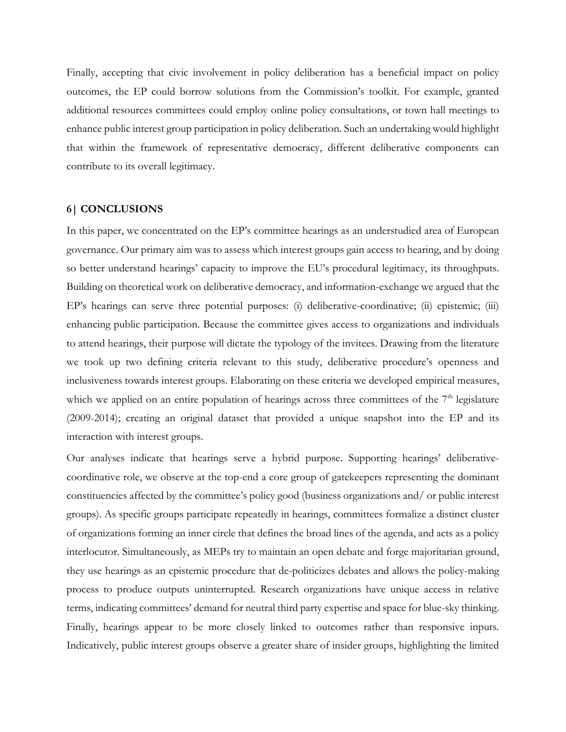Finally, accepting that civic involvement in policy deliberation has a beneficial impact on policy outcomes, the EP could borrow solutions from the Commission's toolkit. For example, granted additional resources committees could employ online policy consultations, or town hall meetings to enhance public interest group participation in policy deliberation. Such an undertaking would highlight that within the framework of representative democracy, different deliberative components can contribute to its overall legitimacy.

## **6| CONCLUSIONS**

In this paper, we concentrated on the EP's committee hearings as an understudied area of European governance. Our primary aim was to assess which interest groups gain access to hearing, and by doing so better understand hearings' capacity to improve the EU's procedural legitimacy, its throughputs. Building on theoretical work on deliberative democracy, and information-exchange we argued that the EP's hearings can serve three potential purposes: (i) deliberative-coordinative; (ii) epistemic; (iii) enhancing public participation. Because the committee gives access to organizations and individuals to attend hearings, their purpose will dictate the typology of the invitees. Drawing from the literature we took up two defining criteria relevant to this study, deliberative procedure's openness and inclusiveness towards interest groups. Elaborating on these criteria we developed empirical measures, which we applied on an entire population of hearings across three committees of the  $7<sup>th</sup>$  legislature (2009-2014); creating an original dataset that provided a unique snapshot into the EP and its interaction with interest groups.

Our analyses indicate that hearings serve a hybrid purpose. Supporting hearings' deliberativecoordinative role, we observe at the top-end a core group of gatekeepers representing the dominant constituencies affected by the committee's policy good (business organizations and/ or public interest groups). As specific groups participate repeatedly in hearings, committees formalize a distinct cluster of organizations forming an inner circle that defines the broad lines of the agenda, and acts as a policy interlocutor. Simultaneously, as MEPs try to maintain an open debate and forge majoritarian ground, they use hearings as an epistemic procedure that de-politicizes debates and allows the policy-making process to produce outputs uninterrupted. Research organizations have unique access in relative terms, indicating committees' demand for neutral third party expertise and space for blue-sky thinking. Finally, hearings appear to be more closely linked to outcomes rather than responsive inputs. Indicatively, public interest groups observe a greater share of insider groups, highlighting the limited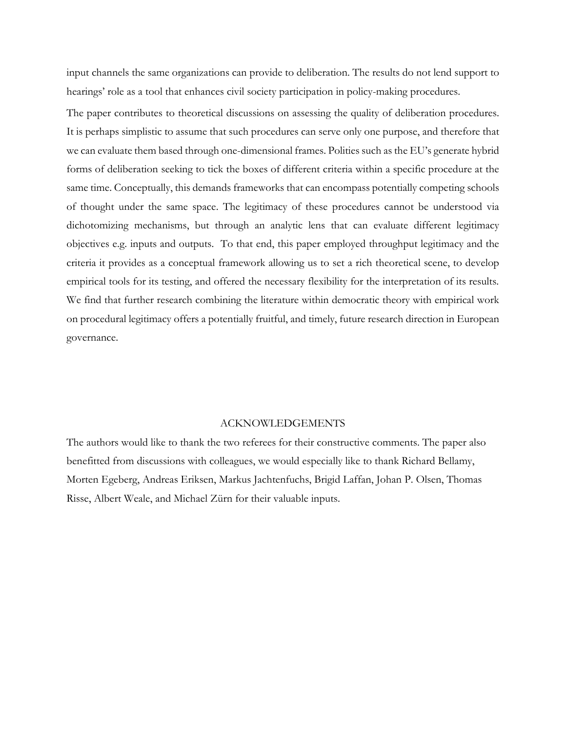input channels the same organizations can provide to deliberation. The results do not lend support to hearings' role as a tool that enhances civil society participation in policy-making procedures.

The paper contributes to theoretical discussions on assessing the quality of deliberation procedures. It is perhaps simplistic to assume that such procedures can serve only one purpose, and therefore that we can evaluate them based through one-dimensional frames. Polities such as the EU's generate hybrid forms of deliberation seeking to tick the boxes of different criteria within a specific procedure at the same time. Conceptually, this demands frameworks that can encompass potentially competing schools of thought under the same space. The legitimacy of these procedures cannot be understood via dichotomizing mechanisms, but through an analytic lens that can evaluate different legitimacy objectives e.g. inputs and outputs. To that end, this paper employed throughput legitimacy and the criteria it provides as a conceptual framework allowing us to set a rich theoretical scene, to develop empirical tools for its testing, and offered the necessary flexibility for the interpretation of its results. We find that further research combining the literature within democratic theory with empirical work on procedural legitimacy offers a potentially fruitful, and timely, future research direction in European governance.

#### ACKNOWLEDGEMENTS

The authors would like to thank the two referees for their constructive comments. The paper also benefitted from discussions with colleagues, we would especially like to thank Richard Bellamy, Morten Egeberg, Andreas Eriksen, Markus Jachtenfuchs, Brigid Laffan, Johan P. Olsen, Thomas Risse, Albert Weale, and Michael Zürn for their valuable inputs.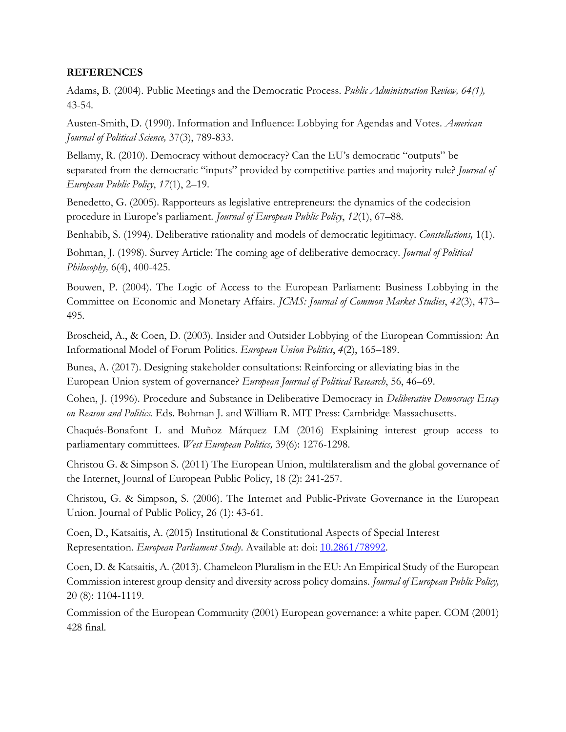# **REFERENCES**

Adams, B. (2004). Public Meetings and the Democratic Process. *Public Administration Review, 64(1),* 43-54.

Austen-Smith, D. (1990). Information and Influence: Lobbying for Agendas and Votes. *American Journal of Political Science,* 37(3), 789-833.

Bellamy, R. (2010). Democracy without democracy? Can the EU's democratic "outputs" be separated from the democratic "inputs" provided by competitive parties and majority rule? *Journal of European Public Policy*, *17*(1), 2–19.

Benedetto, G. (2005). Rapporteurs as legislative entrepreneurs: the dynamics of the codecision procedure in Europe's parliament. *Journal of European Public Policy*, *12*(1), 67–88.

Benhabib, S. (1994). Deliberative rationality and models of democratic legitimacy. *Constellations,* 1(1).

Bohman, J. (1998). Survey Article: The coming age of deliberative democracy. *Journal of Political Philosophy,* 6(4), 400-425.

Bouwen, P. (2004). The Logic of Access to the European Parliament: Business Lobbying in the Committee on Economic and Monetary Affairs. *JCMS: Journal of Common Market Studies*, *42*(3), 473– 495.

Broscheid, A., & Coen, D. (2003). Insider and Outsider Lobbying of the European Commission: An Informational Model of Forum Politics. *European Union Politics*, *4*(2), 165–189.

Bunea, A. (2017). Designing stakeholder consultations: Reinforcing or alleviating bias in the European Union system of governance? *European Journal of Political Research*, 56, 46–69.

Cohen, J. (1996). Procedure and Substance in Deliberative Democracy in *Deliberative Democracy Essay on Reason and Politics.* Eds. Bohman J. and William R. MIT Press: Cambridge Massachusetts.

Chaqués-Bonafont L and Muñoz Márquez LM (2016) Explaining interest group access to parliamentary committees. *West European Politics,* 39(6): 1276-1298.

Christou G. & Simpson S. (2011) The European Union, multilateralism and the global governance of the Internet, Journal of European Public Policy, 18 (2): 241-257.

Christou, G. & Simpson, S. (2006). The Internet and Public-Private Governance in the European Union. Journal of Public Policy, 26 (1): 43-61.

Coen, D., Katsaitis, A. (2015) Institutional & Constitutional Aspects of Special Interest Representation. *European Parliament Study*. Available at: doi: [10.2861/78992.](http://www.europarl.europa.eu/RegData/etudes/STUD/2015/519229/IPOL_STU(2015)519229_EN.pdf)

Coen, D. & Katsaitis, A. (2013). Chameleon Pluralism in the EU: An Empirical Study of the European Commission interest group density and diversity across policy domains. *Journal of European Public Policy,*  20 (8): 1104-1119.

Commission of the European Community (2001) European governance: a white paper. COM (2001) 428 final.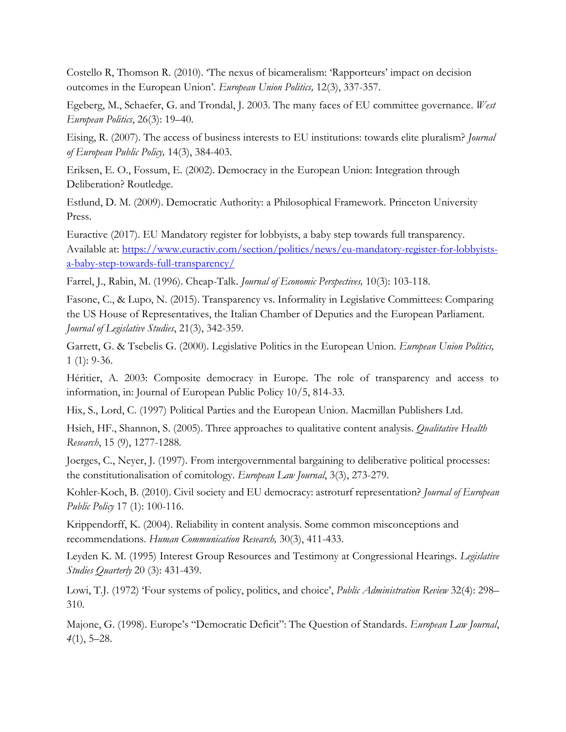Costello R, Thomson R. (2010). 'The nexus of bicameralism: 'Rapporteurs' impact on decision outcomes in the European Union'. *European Union Politics,* 12(3), 337-357.

Egeberg, M., Schaefer, G. and Trondal, J. 2003. The many faces of EU committee governance. *West European Politics*, 26(3): 19–40.

Eising, R. (2007). The access of business interests to EU institutions: towards elite pluralism? *Journal of European Public Policy,* 14(3), 384-403.

Eriksen, E. O., Fossum, E. (2002). Democracy in the European Union: Integration through Deliberation? Routledge.

Estlund, D. M. (2009). Democratic Authority: a Philosophical Framework. Princeton University Press.

Euractive (2017). EU Mandatory register for lobbyists, a baby step towards full transparency. Available at: [https://www.euractiv.com/section/politics/news/eu-mandatory-register-for-lobbyists](https://www.euractiv.com/section/politics/news/eu-mandatory-register-for-lobbyists-a-baby-step-towards-full-transparency/)[a-baby-step-towards-full-transparency/](https://www.euractiv.com/section/politics/news/eu-mandatory-register-for-lobbyists-a-baby-step-towards-full-transparency/)

Farrel, J., Rabin, M. (1996). Cheap-Talk. *Journal of Economic Perspectives,* 10(3): 103-118.

Fasone, C., & Lupo, N. (2015). Transparency vs. Informality in Legislative Committees: Comparing the US House of Representatives, the Italian Chamber of Deputies and the European Parliament. *Journal of Legislative Studies*, 21(3), 342-359.

Garrett, G. & Tsebelis G. (2000). Legislative Politics in the European Union. *European Union Politics,*  1 (1): 9-36.

Héritier, A. 2003: Composite democracy in Europe. The role of transparency and access to information, in: Journal of European Public Policy 10/5, 814-33.

Hix, S., Lord, C. (1997) Political Parties and the European Union. Macmillan Publishers Ltd.

Hsieh, HF., Shannon, S. (2005). Three approaches to qualitative content analysis. *Qualitative Health Research*, 15 (9), 1277-1288.

Joerges, C., Neyer, J. (1997). From intergovernmental bargaining to deliberative political processes: the constitutionalisation of comitology. *European Law Journal*, 3(3), 273-279.

Kohler-Koch, B. (2010). Civil society and EU democracy: astroturf representation? *Journal of European Public Policy* 17 (1): 100-116.

Krippendorff, K. (2004). Reliability in content analysis. Some common misconceptions and recommendations. *Human Communication Research,* 30(3), 411-433.

Leyden K. M. (1995) Interest Group Resources and Testimony at Congressional Hearings. *Legislative Studies Quarterly* 20 (3): 431-439.

Lowi, T.J. (1972) 'Four systems of policy, politics, and choice', *Public Administration Review* 32(4): 298– 310.

Majone, G. (1998). Europe's "Democratic Deficit": The Question of Standards. *European Law Journal*, *4*(1), 5–28.